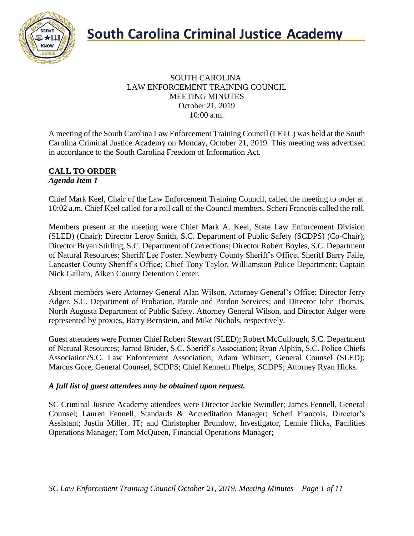

#### SOUTH CAROLINA LAW ENFORCEMENT TRAINING COUNCIL MEETING MINUTES October 21, 2019 10:00 a.m.

A meeting of the South Carolina Law Enforcement Training Council (LETC) was held at the South Carolina Criminal Justice Academy on Monday, October 21, 2019. This meeting was advertised in accordance to the South Carolina Freedom of Information Act.

#### **CALL TO ORDER** *Agenda Item 1*

Chief Mark Keel, Chair of the Law Enforcement Training Council, called the meeting to order at 10:02 a.m. Chief Keel called for a roll call of the Council members. Scheri Francois called the roll.

Members present at the meeting were Chief Mark A. Keel, State Law Enforcement Division (SLED) (Chair); Director Leroy Smith, S.C. Department of Public Safety (SCDPS) (Co-Chair); Director Bryan Stirling, S.C. Department of Corrections; Director Robert Boyles, S.C. Department of Natural Resources; Sheriff Lee Foster, Newberry County Sheriff's Office; Sheriff Barry Faile, Lancaster County Sheriff's Office; Chief Tony Taylor, Williamston Police Department; Captain Nick Gallam, Aiken County Detention Center.

Absent members were Attorney General Alan Wilson, Attorney General's Office; Director Jerry Adger, S.C. Department of Probation, Parole and Pardon Services; and Director John Thomas, North Augusta Department of Public Safety. Attorney General Wilson, and Director Adger were represented by proxies, Barry Bernstein, and Mike Nichols, respectively.

Guest attendees were Former Chief Robert Stewart (SLED); Robert McCullough, S.C. Department of Natural Resources; Jarrod Bruder, S.C. Sheriff's Association; Ryan Alphin, S.C. Police Chiefs Association/S.C. Law Enforcement Association; Adam Whitsett, General Counsel (SLED); Marcus Gore, General Counsel, SCDPS; Chief Kenneth Phelps, SCDPS; Attorney Ryan Hicks.

#### *A full list of guest attendees may be obtained upon request.*

SC Criminal Justice Academy attendees were Director Jackie Swindler; James Fennell, General Counsel; Lauren Fennell, Standards & Accreditation Manager; Scheri Francois, Director's Assistant; Justin Miller, IT; and Christopher Brumlow, Investigator, Lennie Hicks, Facilities Operations Manager; Tom McQueen, Financial Operations Manager;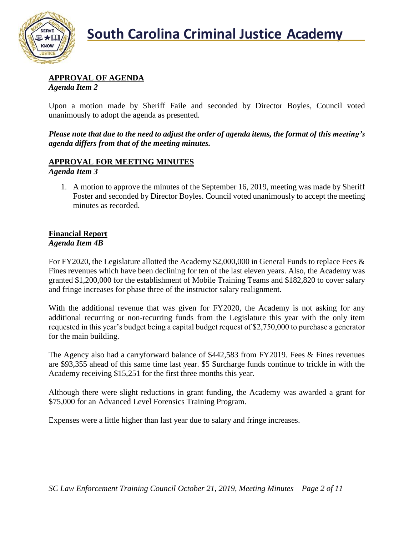

## **APPROVAL OF AGENDA**

*Agenda Item 2*

Upon a motion made by Sheriff Faile and seconded by Director Boyles, Council voted unanimously to adopt the agenda as presented.

*Please note that due to the need to adjust the order of agenda items, the format of this meeting's agenda differs from that of the meeting minutes.* 

#### **APPROVAL FOR MEETING MINUTES** *Agenda Item 3*

1. A motion to approve the minutes of the September 16, 2019, meeting was made by Sheriff Foster and seconded by Director Boyles. Council voted unanimously to accept the meeting minutes as recorded.

#### **Financial Report** *Agenda Item 4B*

For FY2020, the Legislature allotted the Academy \$2,000,000 in General Funds to replace Fees & Fines revenues which have been declining for ten of the last eleven years. Also, the Academy was granted \$1,200,000 for the establishment of Mobile Training Teams and \$182,820 to cover salary and fringe increases for phase three of the instructor salary realignment.

With the additional revenue that was given for FY2020, the Academy is not asking for any additional recurring or non-recurring funds from the Legislature this year with the only item requested in this year's budget being a capital budget request of \$2,750,000 to purchase a generator for the main building.

The Agency also had a carryforward balance of \$442,583 from FY2019. Fees & Fines revenues are \$93,355 ahead of this same time last year. \$5 Surcharge funds continue to trickle in with the Academy receiving \$15,251 for the first three months this year.

Although there were slight reductions in grant funding, the Academy was awarded a grant for \$75,000 for an Advanced Level Forensics Training Program.

Expenses were a little higher than last year due to salary and fringe increases.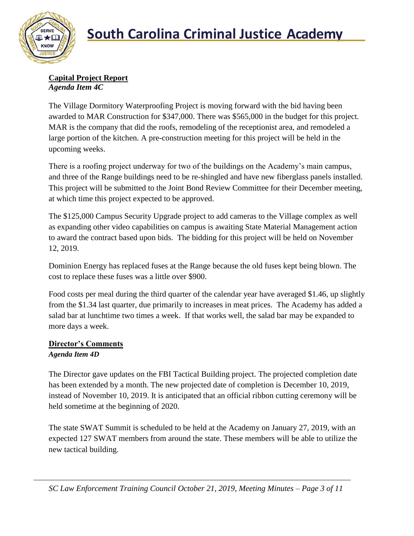

### **Capital Project Report** *Agenda Item 4C*

The Village Dormitory Waterproofing Project is moving forward with the bid having been awarded to MAR Construction for \$347,000. There was \$565,000 in the budget for this project. MAR is the company that did the roofs, remodeling of the receptionist area, and remodeled a large portion of the kitchen. A pre-construction meeting for this project will be held in the upcoming weeks.

There is a roofing project underway for two of the buildings on the Academy's main campus, and three of the Range buildings need to be re-shingled and have new fiberglass panels installed. This project will be submitted to the Joint Bond Review Committee for their December meeting, at which time this project expected to be approved.

The \$125,000 Campus Security Upgrade project to add cameras to the Village complex as well as expanding other video capabilities on campus is awaiting State Material Management action to award the contract based upon bids. The bidding for this project will be held on November 12, 2019.

Dominion Energy has replaced fuses at the Range because the old fuses kept being blown. The cost to replace these fuses was a little over \$900.

Food costs per meal during the third quarter of the calendar year have averaged \$1.46, up slightly from the \$1.34 last quarter, due primarily to increases in meat prices. The Academy has added a salad bar at lunchtime two times a week. If that works well, the salad bar may be expanded to more days a week.

## **Director's Comments**

## *Agenda Item 4D*

The Director gave updates on the FBI Tactical Building project. The projected completion date has been extended by a month. The new projected date of completion is December 10, 2019, instead of November 10, 2019. It is anticipated that an official ribbon cutting ceremony will be held sometime at the beginning of 2020.

The state SWAT Summit is scheduled to be held at the Academy on January 27, 2019, with an expected 127 SWAT members from around the state. These members will be able to utilize the new tactical building.

*SC Law Enforcement Training Council October 21, 2019, Meeting Minutes – Page 3 of 11*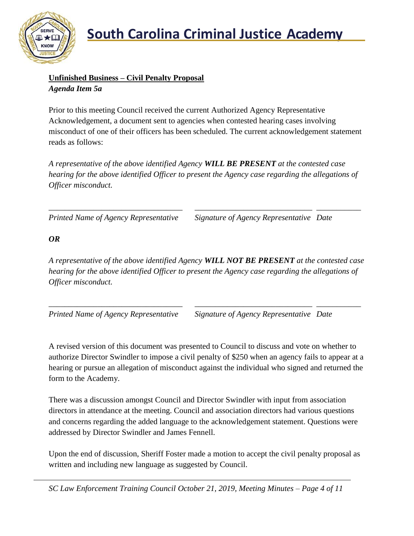

## **Unfinished Business – Civil Penalty Proposal** *Agenda Item 5a*

Prior to this meeting Council received the current Authorized Agency Representative Acknowledgement, a document sent to agencies when contested hearing cases involving misconduct of one of their officers has been scheduled. The current acknowledgement statement reads as follows:

*A representative of the above identified Agency WILL BE PRESENT at the contested case hearing for the above identified Officer to present the Agency case regarding the allegations of Officer misconduct.* 

\_\_\_\_\_\_\_\_\_\_\_\_\_\_\_\_\_\_\_\_\_\_\_\_\_\_\_\_\_\_\_\_\_ \_\_\_\_\_\_\_\_\_\_\_\_\_\_\_\_\_\_\_\_\_\_\_\_\_\_\_\_\_ \_\_\_\_\_\_\_\_\_\_\_

*Printed Name of Agency Representative Signature of Agency Representative Date*

*OR*

*A representative of the above identified Agency WILL NOT BE PRESENT at the contested case hearing for the above identified Officer to present the Agency case regarding the allegations of Officer misconduct.* 

*\_\_\_\_\_\_\_\_\_\_\_\_\_\_\_\_\_\_\_\_\_\_\_\_\_\_\_\_\_\_\_\_\_ \_\_\_\_\_\_\_\_\_\_\_\_\_\_\_\_\_\_\_\_\_\_\_\_\_\_\_\_\_ \_\_\_\_\_\_\_\_\_\_\_* 

*Printed Name of Agency Representative Signature of Agency Representative Date*

A revised version of this document was presented to Council to discuss and vote on whether to authorize Director Swindler to impose a civil penalty of \$250 when an agency fails to appear at a hearing or pursue an allegation of misconduct against the individual who signed and returned the form to the Academy.

There was a discussion amongst Council and Director Swindler with input from association directors in attendance at the meeting. Council and association directors had various questions and concerns regarding the added language to the acknowledgement statement. Questions were addressed by Director Swindler and James Fennell.

Upon the end of discussion, Sheriff Foster made a motion to accept the civil penalty proposal as written and including new language as suggested by Council.

*SC Law Enforcement Training Council October 21, 2019, Meeting Minutes – Page 4 of 11*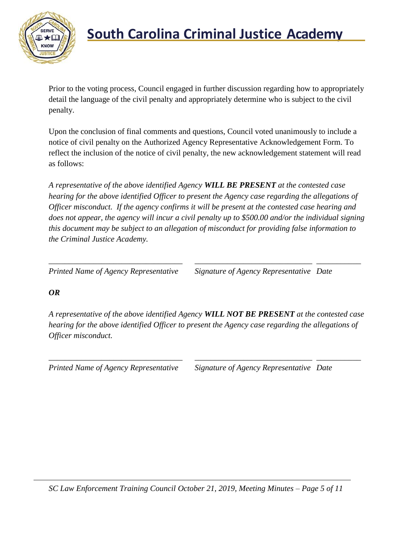

Prior to the voting process, Council engaged in further discussion regarding how to appropriately detail the language of the civil penalty and appropriately determine who is subject to the civil penalty.

Upon the conclusion of final comments and questions, Council voted unanimously to include a notice of civil penalty on the Authorized Agency Representative Acknowledgement Form. To reflect the inclusion of the notice of civil penalty, the new acknowledgement statement will read as follows:

*A representative of the above identified Agency WILL BE PRESENT at the contested case hearing for the above identified Officer to present the Agency case regarding the allegations of Officer misconduct. If the agency confirms it will be present at the contested case hearing and does not appear, the agency will incur a civil penalty up to \$500.00 and/or the individual signing this document may be subject to an allegation of misconduct for providing false information to the Criminal Justice Academy.* 

\_\_\_\_\_\_\_\_\_\_\_\_\_\_\_\_\_\_\_\_\_\_\_\_\_\_\_\_\_\_\_\_\_ \_\_\_\_\_\_\_\_\_\_\_\_\_\_\_\_\_\_\_\_\_\_\_\_\_\_\_\_\_ \_\_\_\_\_\_\_\_\_\_\_

*Printed Name of Agency Representative Signature of Agency Representative Date*

### *OR*

*A representative of the above identified Agency WILL NOT BE PRESENT at the contested case hearing for the above identified Officer to present the Agency case regarding the allegations of Officer misconduct.* 

*\_\_\_\_\_\_\_\_\_\_\_\_\_\_\_\_\_\_\_\_\_\_\_\_\_\_\_\_\_\_\_\_\_ \_\_\_\_\_\_\_\_\_\_\_\_\_\_\_\_\_\_\_\_\_\_\_\_\_\_\_\_\_ \_\_\_\_\_\_\_\_\_\_\_* 

*Printed Name of Agency Representative Signature of Agency Representative Date*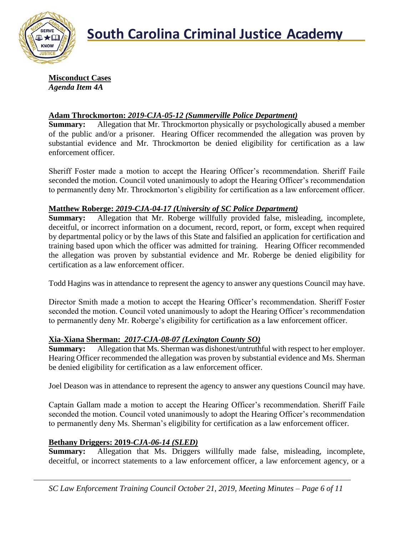

**Misconduct Cases** *Agenda Item 4A*

#### **Adam Throckmorton:** *2019-CJA-05-12 (Summerville Police Department)*

**Summary:** Allegation that Mr. Throckmorton physically or psychologically abused a member of the public and/or a prisoner. Hearing Officer recommended the allegation was proven by substantial evidence and Mr. Throckmorton be denied eligibility for certification as a law enforcement officer.

Sheriff Foster made a motion to accept the Hearing Officer's recommendation. Sheriff Faile seconded the motion. Council voted unanimously to adopt the Hearing Officer's recommendation to permanently deny Mr. Throckmorton's eligibility for certification as a law enforcement officer.

#### **Matthew Roberge:** *2019-CJA-04-17 (University of SC Police Department)*

**Summary:** Allegation that Mr. Roberge willfully provided false, misleading, incomplete, deceitful, or incorrect information on a document, record, report, or form, except when required by departmental policy or by the laws of this State and falsified an application for certification and training based upon which the officer was admitted for training. Hearing Officer recommended the allegation was proven by substantial evidence and Mr. Roberge be denied eligibility for certification as a law enforcement officer.

Todd Hagins was in attendance to represent the agency to answer any questions Council may have.

Director Smith made a motion to accept the Hearing Officer's recommendation. Sheriff Foster seconded the motion. Council voted unanimously to adopt the Hearing Officer's recommendation to permanently deny Mr. Roberge's eligibility for certification as a law enforcement officer.

#### **Xia-Xiana Sherman:** *2017-CJA-08-07 (Lexington County SO)*

**Summary:** Allegation that Ms. Sherman was dishonest/untruthful with respect to her employer. Hearing Officer recommended the allegation was proven by substantial evidence and Ms. Sherman be denied eligibility for certification as a law enforcement officer.

Joel Deason was in attendance to represent the agency to answer any questions Council may have.

Captain Gallam made a motion to accept the Hearing Officer's recommendation. Sheriff Faile seconded the motion. Council voted unanimously to adopt the Hearing Officer's recommendation to permanently deny Ms. Sherman's eligibility for certification as a law enforcement officer.

### **Bethany Driggers: 2019-***CJA-06-14 (SLED)*

**Summary:** Allegation that Ms. Driggers willfully made false, misleading, incomplete, deceitful, or incorrect statements to a law enforcement officer, a law enforcement agency, or a

*SC Law Enforcement Training Council October 21, 2019, Meeting Minutes – Page 6 of 11*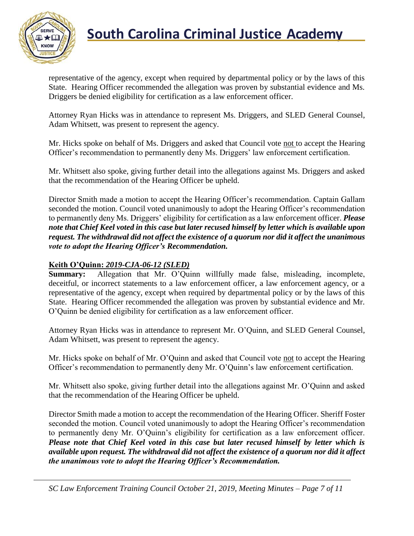

representative of the agency, except when required by departmental policy or by the laws of this State. Hearing Officer recommended the allegation was proven by substantial evidence and Ms. Driggers be denied eligibility for certification as a law enforcement officer.

Attorney Ryan Hicks was in attendance to represent Ms. Driggers, and SLED General Counsel, Adam Whitsett, was present to represent the agency.

Mr. Hicks spoke on behalf of Ms. Driggers and asked that Council vote not to accept the Hearing Officer's recommendation to permanently deny Ms. Driggers' law enforcement certification.

Mr. Whitsett also spoke, giving further detail into the allegations against Ms. Driggers and asked that the recommendation of the Hearing Officer be upheld.

Director Smith made a motion to accept the Hearing Officer's recommendation. Captain Gallam seconded the motion. Council voted unanimously to adopt the Hearing Officer's recommendation to permanently deny Ms. Driggers' eligibility for certification as a law enforcement officer. *Please note that Chief Keel voted in this case but later recused himself by letter which is available upon request. The withdrawal did not affect the existence of a quorum nor did it affect the unanimous vote to adopt the Hearing Officer's Recommendation.*

### **Keith O'Quinn:** *2019-CJA-06-12 (SLED)*

**Summary:** Allegation that Mr. O'Quinn willfully made false, misleading, incomplete, deceitful, or incorrect statements to a law enforcement officer, a law enforcement agency, or a representative of the agency, except when required by departmental policy or by the laws of this State. Hearing Officer recommended the allegation was proven by substantial evidence and Mr. O'Quinn be denied eligibility for certification as a law enforcement officer.

Attorney Ryan Hicks was in attendance to represent Mr. O'Quinn, and SLED General Counsel, Adam Whitsett, was present to represent the agency.

Mr. Hicks spoke on behalf of Mr. O'Quinn and asked that Council vote not to accept the Hearing Officer's recommendation to permanently deny Mr. O'Quinn's law enforcement certification.

Mr. Whitsett also spoke, giving further detail into the allegations against Mr. O'Quinn and asked that the recommendation of the Hearing Officer be upheld.

Director Smith made a motion to accept the recommendation of the Hearing Officer. Sheriff Foster seconded the motion. Council voted unanimously to adopt the Hearing Officer's recommendation to permanently deny Mr. O'Quinn's eligibility for certification as a law enforcement officer. *Please note that Chief Keel voted in this case but later recused himself by letter which is available upon request. The withdrawal did not affect the existence of a quorum nor did it affect the unanimous vote to adopt the Hearing Officer's Recommendation.*

*SC Law Enforcement Training Council October 21, 2019, Meeting Minutes – Page 7 of 11*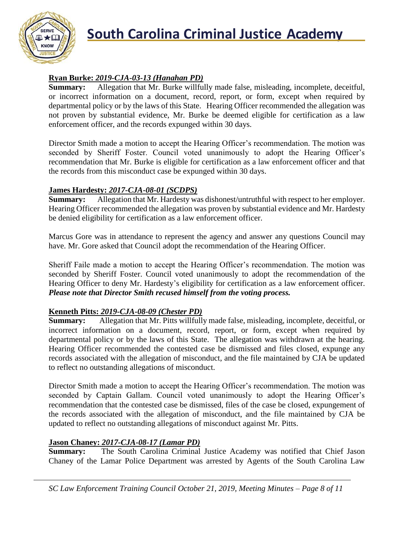

### **Ryan Burke:** *2019-CJA-03-13 (Hanahan PD)*

**Summary:** Allegation that Mr. Burke willfully made false, misleading, incomplete, deceitful, or incorrect information on a document, record, report, or form, except when required by departmental policy or by the laws of this State. Hearing Officer recommended the allegation was not proven by substantial evidence, Mr. Burke be deemed eligible for certification as a law enforcement officer, and the records expunged within 30 days.

Director Smith made a motion to accept the Hearing Officer's recommendation. The motion was seconded by Sheriff Foster. Council voted unanimously to adopt the Hearing Officer's recommendation that Mr. Burke is eligible for certification as a law enforcement officer and that the records from this misconduct case be expunged within 30 days.

### **James Hardesty:** *2017-CJA-08-01 (SCDPS)*

**Summary:** Allegation that Mr. Hardesty was dishonest/untruthful with respect to her employer. Hearing Officer recommended the allegation was proven by substantial evidence and Mr. Hardesty be denied eligibility for certification as a law enforcement officer.

Marcus Gore was in attendance to represent the agency and answer any questions Council may have. Mr. Gore asked that Council adopt the recommendation of the Hearing Officer.

Sheriff Faile made a motion to accept the Hearing Officer's recommendation. The motion was seconded by Sheriff Foster. Council voted unanimously to adopt the recommendation of the Hearing Officer to deny Mr. Hardesty's eligibility for certification as a law enforcement officer. *Please note that Director Smith recused himself from the voting process.*

### **Kenneth Pitts:** *2019-CJA-08-09 (Chester PD)*

**Summary:** Allegation that Mr. Pitts willfully made false, misleading, incomplete, deceitful, or incorrect information on a document, record, report, or form, except when required by departmental policy or by the laws of this State. The allegation was withdrawn at the hearing. Hearing Officer recommended the contested case be dismissed and files closed, expunge any records associated with the allegation of misconduct, and the file maintained by CJA be updated to reflect no outstanding allegations of misconduct.

Director Smith made a motion to accept the Hearing Officer's recommendation. The motion was seconded by Captain Gallam. Council voted unanimously to adopt the Hearing Officer's recommendation that the contested case be dismissed, files of the case be closed, expungement of the records associated with the allegation of misconduct, and the file maintained by CJA be updated to reflect no outstanding allegations of misconduct against Mr. Pitts.

### **Jason Chaney:** *2017-CJA-08-17 (Lamar PD)*

**Summary:** The South Carolina Criminal Justice Academy was notified that Chief Jason Chaney of the Lamar Police Department was arrested by Agents of the South Carolina Law

*SC Law Enforcement Training Council October 21, 2019, Meeting Minutes – Page 8 of 11*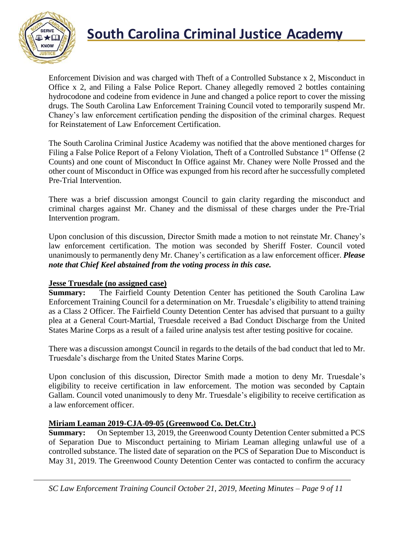

Enforcement Division and was charged with Theft of a Controlled Substance x 2, Misconduct in Office x 2, and Filing a False Police Report. Chaney allegedly removed 2 bottles containing hydrocodone and codeine from evidence in June and changed a police report to cover the missing drugs. The South Carolina Law Enforcement Training Council voted to temporarily suspend Mr. Chaney's law enforcement certification pending the disposition of the criminal charges. Request for Reinstatement of Law Enforcement Certification.

The South Carolina Criminal Justice Academy was notified that the above mentioned charges for Filing a False Police Report of a Felony Violation, Theft of a Controlled Substance 1<sup>st</sup> Offense (2) Counts) and one count of Misconduct In Office against Mr. Chaney were Nolle Prossed and the other count of Misconduct in Office was expunged from his record after he successfully completed Pre-Trial Intervention.

There was a brief discussion amongst Council to gain clarity regarding the misconduct and criminal charges against Mr. Chaney and the dismissal of these charges under the Pre-Trial Intervention program.

Upon conclusion of this discussion, Director Smith made a motion to not reinstate Mr. Chaney's law enforcement certification. The motion was seconded by Sheriff Foster. Council voted unanimously to permanently deny Mr. Chaney's certification as a law enforcement officer. *Please note that Chief Keel abstained from the voting process in this case.*

#### **Jesse Truesdale (no assigned case)**

**Summary:** The Fairfield County Detention Center has petitioned the South Carolina Law Enforcement Training Council for a determination on Mr. Truesdale's eligibility to attend training as a Class 2 Officer. The Fairfield County Detention Center has advised that pursuant to a guilty plea at a General Court-Martial, Truesdale received a Bad Conduct Discharge from the United States Marine Corps as a result of a failed urine analysis test after testing positive for cocaine.

There was a discussion amongst Council in regards to the details of the bad conduct that led to Mr. Truesdale's discharge from the United States Marine Corps.

Upon conclusion of this discussion, Director Smith made a motion to deny Mr. Truesdale's eligibility to receive certification in law enforcement. The motion was seconded by Captain Gallam. Council voted unanimously to deny Mr. Truesdale's eligibility to receive certification as a law enforcement officer.

### **Miriam Leaman 2019-CJA-09-05 (Greenwood Co. Det.Ctr.)**

**Summary:** On September 13, 2019, the Greenwood County Detention Center submitted a PCS of Separation Due to Misconduct pertaining to Miriam Leaman alleging unlawful use of a controlled substance. The listed date of separation on the PCS of Separation Due to Misconduct is May 31, 2019. The Greenwood County Detention Center was contacted to confirm the accuracy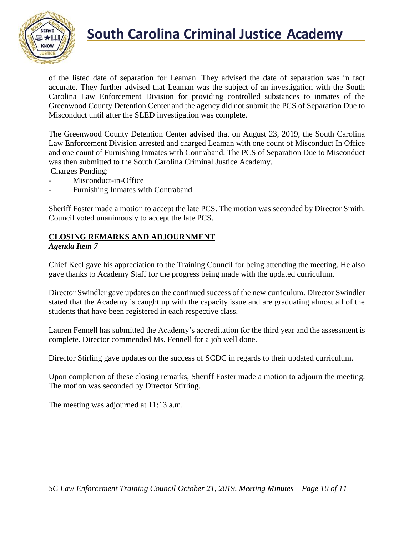

of the listed date of separation for Leaman. They advised the date of separation was in fact accurate. They further advised that Leaman was the subject of an investigation with the South Carolina Law Enforcement Division for providing controlled substances to inmates of the Greenwood County Detention Center and the agency did not submit the PCS of Separation Due to Misconduct until after the SLED investigation was complete.

The Greenwood County Detention Center advised that on August 23, 2019, the South Carolina Law Enforcement Division arrested and charged Leaman with one count of Misconduct In Office and one count of Furnishing Inmates with Contraband. The PCS of Separation Due to Misconduct was then submitted to the South Carolina Criminal Justice Academy.

Charges Pending:

- Misconduct-in-Office
- Furnishing Inmates with Contraband

Sheriff Foster made a motion to accept the late PCS. The motion was seconded by Director Smith. Council voted unanimously to accept the late PCS.

#### **CLOSING REMARKS AND ADJOURNMENT** *Agenda Item 7*

Chief Keel gave his appreciation to the Training Council for being attending the meeting. He also gave thanks to Academy Staff for the progress being made with the updated curriculum.

Director Swindler gave updates on the continued success of the new curriculum. Director Swindler stated that the Academy is caught up with the capacity issue and are graduating almost all of the students that have been registered in each respective class.

Lauren Fennell has submitted the Academy's accreditation for the third year and the assessment is complete. Director commended Ms. Fennell for a job well done.

Director Stirling gave updates on the success of SCDC in regards to their updated curriculum.

Upon completion of these closing remarks, Sheriff Foster made a motion to adjourn the meeting. The motion was seconded by Director Stirling.

The meeting was adjourned at 11:13 a.m.